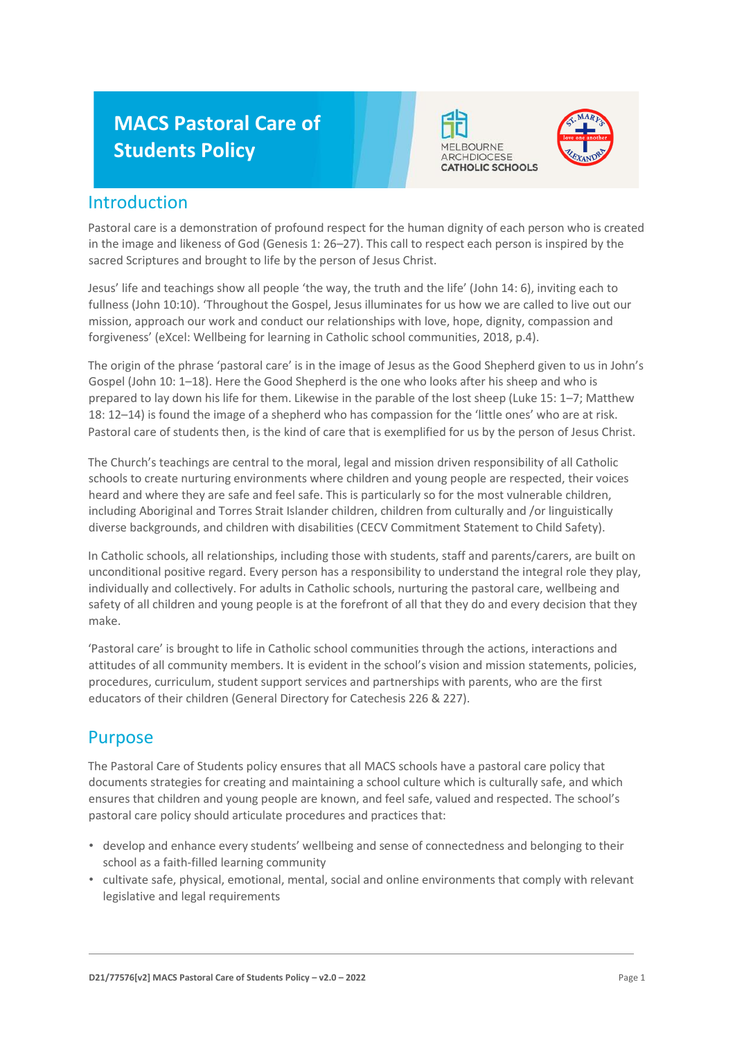# **MACS Pastoral Care of Students Policy**





## Introduction

Pastoral care is a demonstration of profound respect for the human dignity of each person who is created in the image and likeness of God (Genesis 1: 26–27). This call to respect each person is inspired by the sacred Scriptures and brought to life by the person of Jesus Christ.

Jesus' life and teachings show all people 'the way, the truth and the life' (John 14: 6), inviting each to fullness (John 10:10). 'Throughout the Gospel, Jesus illuminates for us how we are called to live out our mission, approach our work and conduct our relationships with love, hope, dignity, compassion and forgiveness' (eXcel: Wellbeing for learning in Catholic school communities, 2018, p.4).

The origin of the phrase 'pastoral care' is in the image of Jesus as the Good Shepherd given to us in John's Gospel (John 10: 1–18). Here the Good Shepherd is the one who looks after his sheep and who is prepared to lay down his life for them. Likewise in the parable of the lost sheep (Luke 15: 1–7; Matthew 18: 12–14) is found the image of a shepherd who has compassion for the 'little ones' who are at risk. Pastoral care of students then, is the kind of care that is exemplified for us by the person of Jesus Christ.

The Church's teachings are central to the moral, legal and mission driven responsibility of all Catholic schools to create nurturing environments where children and young people are respected, their voices heard and where they are safe and feel safe. This is particularly so for the most vulnerable children, including Aboriginal and Torres Strait Islander children, children from culturally and /or linguistically diverse backgrounds, and children with disabilities (CECV Commitment Statement to Child Safety).

In Catholic schools, all relationships, including those with students, staff and parents/carers, are built on unconditional positive regard. Every person has a responsibility to understand the integral role they play, individually and collectively. For adults in Catholic schools, nurturing the pastoral care, wellbeing and safety of all children and young people is at the forefront of all that they do and every decision that they make.

'Pastoral care' is brought to life in Catholic school communities through the actions, interactions and attitudes of all community members. It is evident in the school's vision and mission statements, policies, procedures, curriculum, student support services and partnerships with parents, who are the first educators of their children (General Directory for Catechesis 226 & 227).

## Purpose

The Pastoral Care of Students policy ensures that all MACS schools have a pastoral care policy that documents strategies for creating and maintaining a school culture which is culturally safe, and which ensures that children and young people are known, and feel safe, valued and respected. The school's pastoral care policy should articulate procedures and practices that:

- develop and enhance every students' wellbeing and sense of connectedness and belonging to their school as a faith-filled learning community
- cultivate safe, physical, emotional, mental, social and online environments that comply with relevant legislative and legal requirements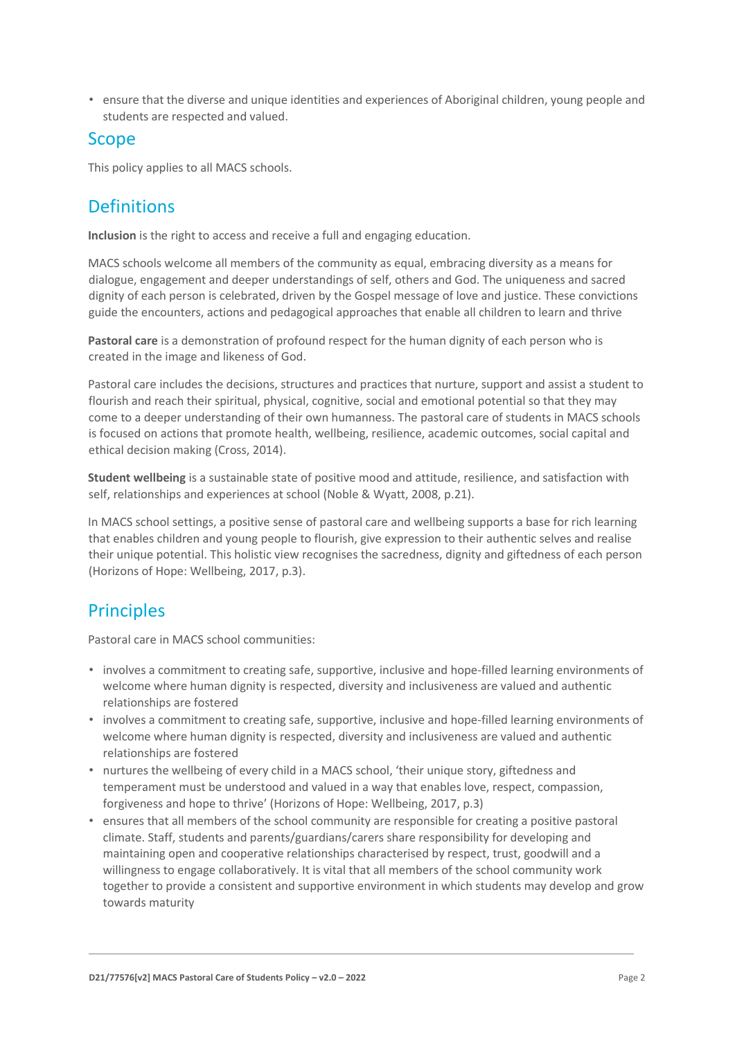• ensure that the diverse and unique identities and experiences of Aboriginal children, young people and students are respected and valued.

### Scope

This policy applies to all MACS schools.

## **Definitions**

**Inclusion** is the right to access and receive a full and engaging education.

MACS schools welcome all members of the community as equal, embracing diversity as a means for dialogue, engagement and deeper understandings of self, others and God. The uniqueness and sacred dignity of each person is celebrated, driven by the Gospel message of love and justice. These convictions guide the encounters, actions and pedagogical approaches that enable all children to learn and thrive

**Pastoral care** is a demonstration of profound respect for the human dignity of each person who is created in the image and likeness of God.

Pastoral care includes the decisions, structures and practices that nurture, support and assist a student to flourish and reach their spiritual, physical, cognitive, social and emotional potential so that they may come to a deeper understanding of their own humanness. The pastoral care of students in MACS schools is focused on actions that promote health, wellbeing, resilience, academic outcomes, social capital and ethical decision making (Cross, 2014).

**Student wellbeing** is a sustainable state of positive mood and attitude, resilience, and satisfaction with self, relationships and experiences at school (Noble & Wyatt, 2008, p.21).

In MACS school settings, a positive sense of pastoral care and wellbeing supports a base for rich learning that enables children and young people to flourish, give expression to their authentic selves and realise their unique potential. This holistic view recognises the sacredness, dignity and giftedness of each person (Horizons of Hope: Wellbeing, 2017, p.3).

## **Principles**

Pastoral care in MACS school communities:

- involves a commitment to creating safe, supportive, inclusive and hope-filled learning environments of welcome where human dignity is respected, diversity and inclusiveness are valued and authentic relationships are fostered
- involves a commitment to creating safe, supportive, inclusive and hope-filled learning environments of welcome where human dignity is respected, diversity and inclusiveness are valued and authentic relationships are fostered
- nurtures the wellbeing of every child in a MACS school, 'their unique story, giftedness and temperament must be understood and valued in a way that enables love, respect, compassion, forgiveness and hope to thrive' (Horizons of Hope: Wellbeing, 2017, p.3)
- ensures that all members of the school community are responsible for creating a positive pastoral climate. Staff, students and parents/guardians/carers share responsibility for developing and maintaining open and cooperative relationships characterised by respect, trust, goodwill and a willingness to engage collaboratively. It is vital that all members of the school community work together to provide a consistent and supportive environment in which students may develop and grow towards maturity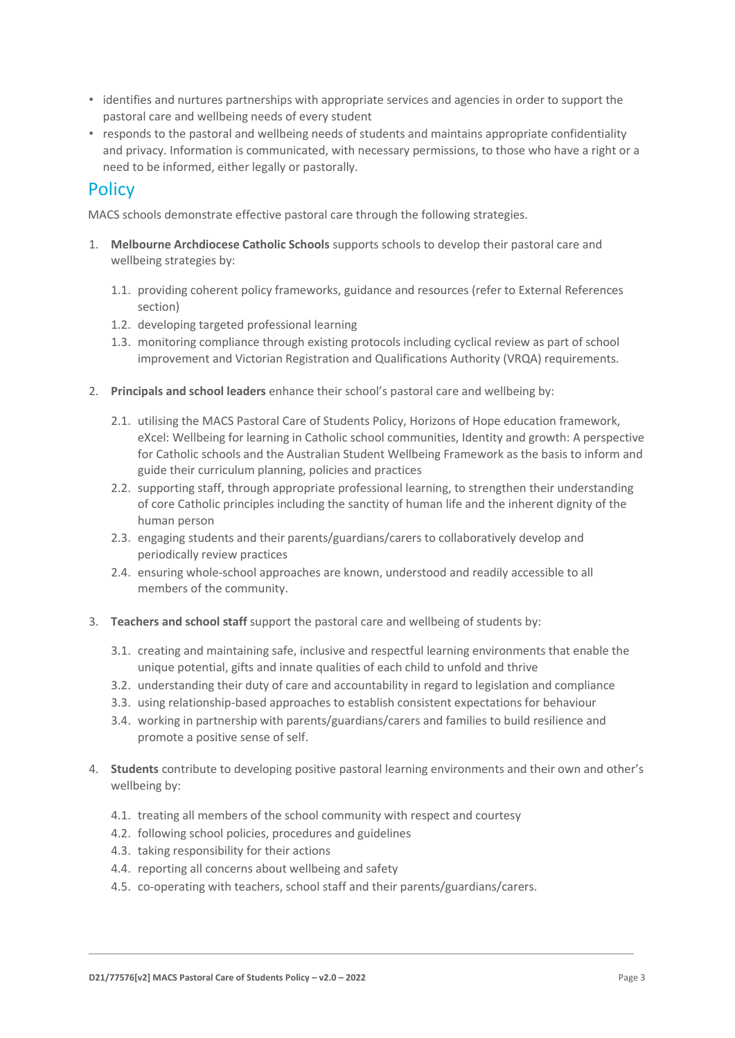- identifies and nurtures partnerships with appropriate services and agencies in order to support the pastoral care and wellbeing needs of every student
- responds to the pastoral and wellbeing needs of students and maintains appropriate confidentiality and privacy. Information is communicated, with necessary permissions, to those who have a right or a need to be informed, either legally or pastorally.

### **Policy**

MACS schools demonstrate effective pastoral care through the following strategies.

- 1. **Melbourne Archdiocese Catholic Schools** supports schools to develop their pastoral care and wellbeing strategies by:
	- 1.1. providing coherent policy frameworks, guidance and resources (refer to External References section)
	- 1.2. developing targeted professional learning
	- 1.3. monitoring compliance through existing protocols including cyclical review as part of school improvement and Victorian Registration and Qualifications Authority (VRQA) requirements.
- 2. **Principals and school leaders** enhance their school's pastoral care and wellbeing by:
	- 2.1. utilising the MACS Pastoral Care of Students Policy, Horizons of Hope education framework, eXcel: Wellbeing for learning in Catholic school communities, Identity and growth: A perspective for Catholic schools and the Australian Student Wellbeing Framework as the basis to inform and guide their curriculum planning, policies and practices
	- 2.2. supporting staff, through appropriate professional learning, to strengthen their understanding of core Catholic principles including the sanctity of human life and the inherent dignity of the human person
	- 2.3. engaging students and their parents/guardians/carers to collaboratively develop and periodically review practices
	- 2.4. ensuring whole-school approaches are known, understood and readily accessible to all members of the community.
- 3. **Teachers and school staff** support the pastoral care and wellbeing of students by:
	- 3.1. creating and maintaining safe, inclusive and respectful learning environments that enable the unique potential, gifts and innate qualities of each child to unfold and thrive
	- 3.2. understanding their duty of care and accountability in regard to legislation and compliance
	- 3.3. using relationship-based approaches to establish consistent expectations for behaviour
	- 3.4. working in partnership with parents/guardians/carers and families to build resilience and promote a positive sense of self.
- 4. **Students** contribute to developing positive pastoral learning environments and their own and other's wellbeing by:
	- 4.1. treating all members of the school community with respect and courtesy
	- 4.2. following school policies, procedures and guidelines
	- 4.3. taking responsibility for their actions
	- 4.4. reporting all concerns about wellbeing and safety
	- 4.5. co-operating with teachers, school staff and their parents/guardians/carers.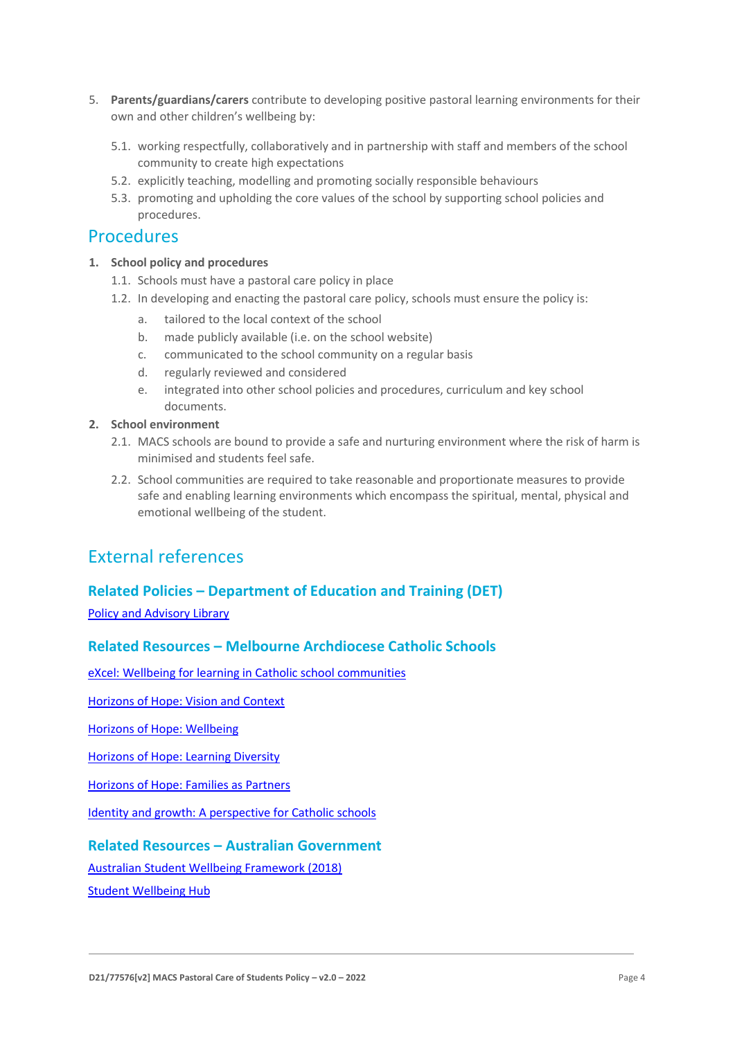- 5. **Parents/guardians/carers** contribute to developing positive pastoral learning environments for their own and other children's wellbeing by:
	- 5.1. working respectfully, collaboratively and in partnership with staff and members of the school community to create high expectations
	- 5.2. explicitly teaching, modelling and promoting socially responsible behaviours
	- 5.3. promoting and upholding the core values of the school by supporting school policies and procedures.

### Procedures

- **1. School policy and procedures** 
	- 1.1. Schools must have a pastoral care policy in place
	- 1.2. In developing and enacting the pastoral care policy, schools must ensure the policy is:
		- a. tailored to the local context of the school
		- b. made publicly available (i.e. on the school website)
		- c. communicated to the school community on a regular basis
		- d. regularly reviewed and considered
		- e. integrated into other school policies and procedures, curriculum and key school documents.
- **2. School environment** 
	- 2.1. MACS schools are bound to provide a safe and nurturing environment where the risk of harm is minimised and students feel safe.
	- 2.2. School communities are required to take reasonable and proportionate measures to provide safe and enabling learning environments which encompass the spiritual, mental, physical and emotional wellbeing of the student.

## External references

#### **Related Policies – Department of Education and Training (DET)**

[Policy and Advisory Library](https://www2.education.vic.gov.au/pal)

#### **Related Resources – Melbourne Archdiocese Catholic Schools**

[eXcel: Wellbeing for learning in Catholic school communities](https://www.cem.edu.au/Our-Schools/Curriculum-Learning-Programs/Student-Wellbeing/eXcel.aspx)

[Horizons of Hope: Vision and Context](https://www.cem.edu.au/Our-Schools/Curriculum-Learning-Programs/Horizons-of-Hope/Vision-Context.aspx)

[Horizons of Hope: Wellbeing](https://www.cem.edu.au/Our-Schools/Curriculum-Learning-Programs/Student-Wellbeing.aspx)

[Horizons of Hope: Learning Diversity](https://www.cem.edu.au/Our-Schools/Curriculum-Learning-Programs/Horizons-of-Hope/Learning-Diversity.aspx)

[Horizons of Hope: Families as Partners](https://www.macs.vic.edu.au/Our-Schools/Curriculum-Learning-Programs/Horizons-of-Hope/Families-as-partners.aspx)

[Identity and growth: A perspective for Catholic schools](https://cevn.cecv.catholic.edu.au/Melb/CI/Identity-Growth)

#### **Related Resources – Australian Government**

[Australian Student Wellbeing Framework \(2018\)](https://www.studentwellbeinghub.edu.au/docs/default-source/aswf_booklet-pdf.pdf)

[Student Wellbeing Hub](https://www.studentwellbeinghub.edu.au/)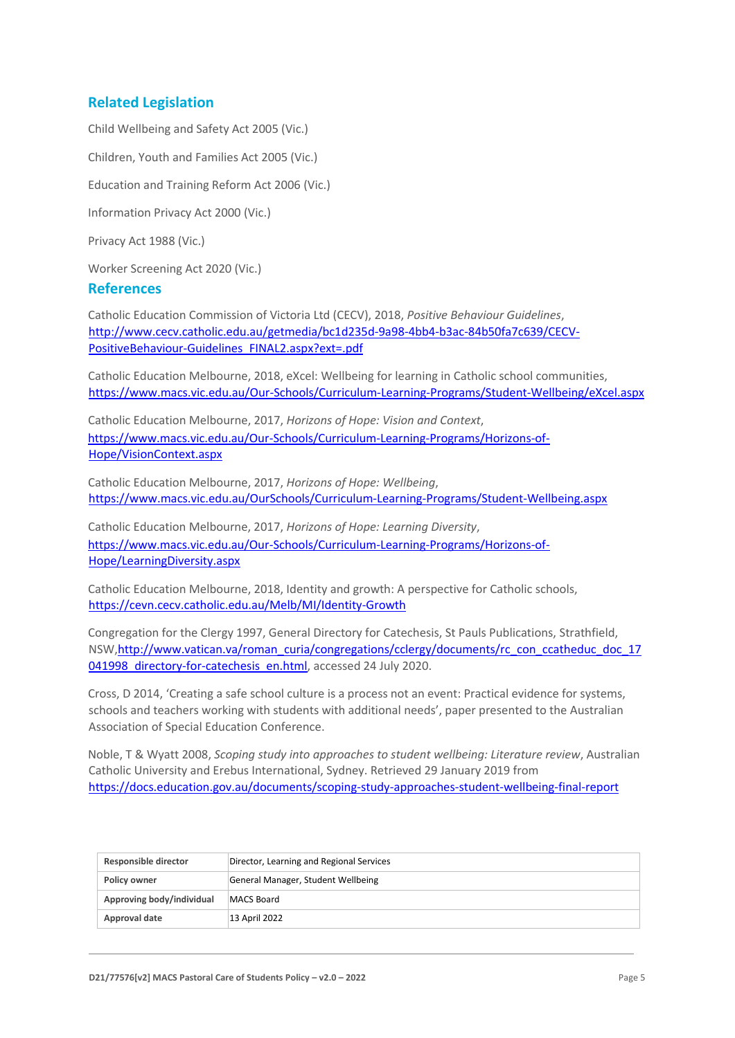#### **Related Legislation**

Child Wellbeing and Safety Act 2005 (Vic.) Children, Youth and Families Act 2005 (Vic.) Education and Training Reform Act 2006 (Vic.) Information Privacy Act 2000 (Vic.) Privacy Act 1988 (Vic.) Worker Screening Act 2020 (Vic.)

#### **References**

Catholic Education Commission of Victoria Ltd (CECV), 2018, *Positive Behaviour Guidelines*, [http://www.cecv.catholic.edu.au/getmedia/bc1d235d-9a98-4bb4-b3ac-84b50fa7c639/CECV-](http://www.cecv.catholic.edu.au/getmedia/bc1d235d-9a98-4bb4-b3ac-84b50fa7c639/CECV-Positive-Behaviour-Guidelines_FINAL2.aspx?ext=.pdf)[PositiveBehaviour-Guidelines\\_FINAL2.aspx?ext=.pdf](http://www.cecv.catholic.edu.au/getmedia/bc1d235d-9a98-4bb4-b3ac-84b50fa7c639/CECV-Positive-Behaviour-Guidelines_FINAL2.aspx?ext=.pdf)

Catholic Education Melbourne, 2018, eXcel: Wellbeing for learning in Catholic school communities, <https://www.macs.vic.edu.au/Our-Schools/Curriculum-Learning-Programs/Student-Wellbeing/eXcel.aspx>

Catholic Education Melbourne, 2017, *Horizons of Hope: Vision and Context*, [https://www.macs.vic.edu.au/Our-Schools/Curriculum-Learning-Programs/Horizons-of-](https://www.macs.vic.edu.au/Our-Schools/Curriculum-Learning-Programs/Horizons-of-Hope/Vision-Context.aspx)[Hope/VisionContext.aspx](https://www.macs.vic.edu.au/Our-Schools/Curriculum-Learning-Programs/Horizons-of-Hope/Vision-Context.aspx)

Catholic Education Melbourne, 2017, *Horizons of Hope: Wellbeing*[,](https://www.macs.vic.edu.au/Our-Schools/Curriculum-Learning-Programs/Student-Wellbeing.aspx)  [https://www.macs.vic.edu.au/OurSchools/Curriculum-Learning-Programs/Student-Wellbeing.aspx](https://www.macs.vic.edu.au/Our-Schools/Curriculum-Learning-Programs/Student-Wellbeing.aspx)

Catholic Education Melbourne, 2017, *Horizons of Hope: Learning Diversity*, [https://www.macs.vic.edu.au/Our-Schools/Curriculum-Learning-Programs/Horizons-of-](https://www.macs.vic.edu.au/Our-Schools/Curriculum-Learning-Programs/Horizons-of-Hope/Learning-Diversity.aspx)[Hope/LearningDiversity.aspx](https://www.macs.vic.edu.au/Our-Schools/Curriculum-Learning-Programs/Horizons-of-Hope/Learning-Diversity.aspx)

Catholic Education Melbourne, 2018, Identity and growth: A perspective for Catholic schools, <https://cevn.cecv.catholic.edu.au/Melb/MI/Identity-Growth>

Congregation for the Clergy 1997, General Directory for Catechesis, St Pauls Publications, Strathfield, NSW,http://www.vatican.va/roman\_curia/congregations/cclergy/documents/rc\_con\_ccatheduc\_doc\_17 041998 directory-for-catechesis en.html, accessed 24 July 2020.

Cross, D 2014, 'Creating a safe school culture is a process not an event: Practical evidence for systems, schools and teachers working with students with additional needs', paper presented to the Australian Association of Special Education Conference.

Noble, T & Wyatt 2008, *Scoping study into approaches to student wellbeing: Literature review*, Australian Catholic University and Erebus International, Sydney. Retrieved 29 January 2019 from <https://docs.education.gov.au/documents/scoping-study-approaches-student-wellbeing-final-report>

| Responsible director      | Director, Learning and Regional Services |
|---------------------------|------------------------------------------|
| Policy owner              | General Manager, Student Wellbeing       |
| Approving body/individual | MACS Board                               |
| Approval date             | 13 April 2022                            |